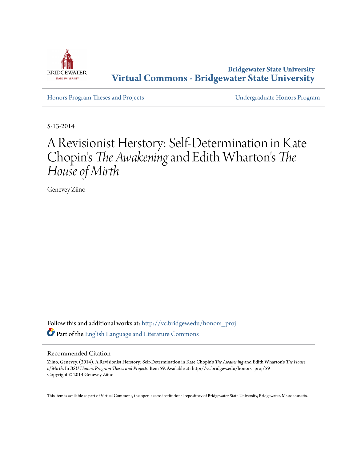

**Bridgewater State University [Virtual Commons - Bridgewater State University](http://vc.bridgew.edu?utm_source=vc.bridgew.edu%2Fhonors_proj%2F59&utm_medium=PDF&utm_campaign=PDFCoverPages)**

[Honors Program Theses and Projects](http://vc.bridgew.edu/honors_proj?utm_source=vc.bridgew.edu%2Fhonors_proj%2F59&utm_medium=PDF&utm_campaign=PDFCoverPages) [Undergraduate Honors Program](http://vc.bridgew.edu/honors?utm_source=vc.bridgew.edu%2Fhonors_proj%2F59&utm_medium=PDF&utm_campaign=PDFCoverPages)

5-13-2014

## A Revisionist Herstory: Self-Determination in Kate Chopin' s *The Awakening*and Edith Wharton ' s *The House of Mirth*

Genevey Ziino

Follow this and additional works at: [http://vc.bridgew.edu/honors\\_proj](http://vc.bridgew.edu/honors_proj?utm_source=vc.bridgew.edu%2Fhonors_proj%2F59&utm_medium=PDF&utm_campaign=PDFCoverPages) Part of the [English Language and Literature Commons](http://network.bepress.com/hgg/discipline/455?utm_source=vc.bridgew.edu%2Fhonors_proj%2F59&utm_medium=PDF&utm_campaign=PDFCoverPages)

## Recommended Citation

Ziino, Genevey. (2014). A Revisionist Herstory: Self-Determination in Kate Chopin's *The Awakening* and Edith Wharton's *The House of Mirth*. In *BSU Honors Program Theses and Projects.* Item 59. Available at: http://vc.bridgew.edu/honors\_proj/59 Copyright © 2014 Genevey Ziino

This item is available as part of Virtual Commons, the open-access institutional repository of Bridgewater State University, Bridgewater, Massachusetts.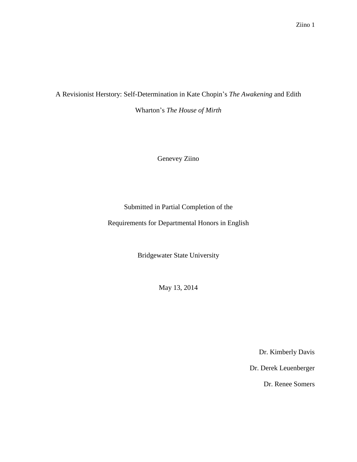# A Revisionist Herstory: Self-Determination in Kate Chopin's *The Awakening* and Edith

Wharton's *The House of Mirth*

Genevey Ziino

Submitted in Partial Completion of the

Requirements for Departmental Honors in English

Bridgewater State University

May 13, 2014

Dr. Kimberly Davis

Dr. Derek Leuenberger

Dr. Renee Somers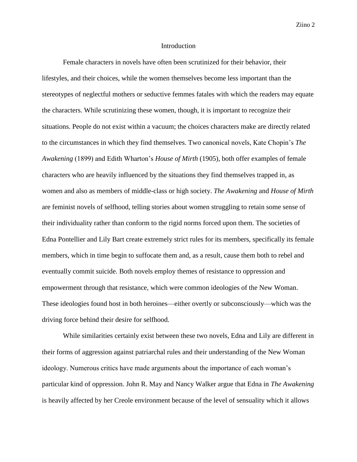#### Introduction

 Female characters in novels have often been scrutinized for their behavior, their lifestyles, and their choices, while the women themselves become less important than the stereotypes of neglectful mothers or seductive femmes fatales with which the readers may equate the characters. While scrutinizing these women, though, it is important to recognize their situations. People do not exist within a vacuum; the choices characters make are directly related to the circumstances in which they find themselves. Two canonical novels, Kate Chopin's *The Awakening* (1899) and Edith Wharton's *House of Mirth* (1905), both offer examples of female characters who are heavily influenced by the situations they find themselves trapped in, as women and also as members of middle-class or high society. *The Awakening* and *House of Mirth*  are feminist novels of selfhood, telling stories about women struggling to retain some sense of their individuality rather than conform to the rigid norms forced upon them. The societies of Edna Pontellier and Lily Bart create extremely strict rules for its members, specifically its female members, which in time begin to suffocate them and, as a result, cause them both to rebel and eventually commit suicide. Both novels employ themes of resistance to oppression and empowerment through that resistance, which were common ideologies of the New Woman. These ideologies found host in both heroines—either overtly or subconsciously—which was the driving force behind their desire for selfhood.

While similarities certainly exist between these two novels, Edna and Lily are different in their forms of aggression against patriarchal rules and their understanding of the New Woman ideology. Numerous critics have made arguments about the importance of each woman's particular kind of oppression. John R. May and Nancy Walker argue that Edna in *The Awakening*  is heavily affected by her Creole environment because of the level of sensuality which it allows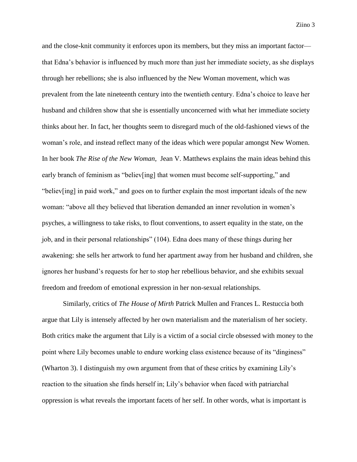and the close-knit community it enforces upon its members, but they miss an important factor that Edna's behavior is influenced by much more than just her immediate society, as she displays through her rebellions; she is also influenced by the New Woman movement, which was prevalent from the late nineteenth century into the twentieth century. Edna's choice to leave her husband and children show that she is essentially unconcerned with what her immediate society thinks about her. In fact, her thoughts seem to disregard much of the old-fashioned views of the woman's role, and instead reflect many of the ideas which were popular amongst New Women. In her book *The Rise of the New Woman*, Jean V. Matthews explains the main ideas behind this early branch of feminism as "believ[ing] that women must become self-supporting," and "believ[ing] in paid work," and goes on to further explain the most important ideals of the new woman: "above all they believed that liberation demanded an inner revolution in women's psyches, a willingness to take risks, to flout conventions, to assert equality in the state, on the job, and in their personal relationships" (104). Edna does many of these things during her awakening: she sells her artwork to fund her apartment away from her husband and children, she ignores her husband's requests for her to stop her rebellious behavior, and she exhibits sexual freedom and freedom of emotional expression in her non-sexual relationships.

Similarly, critics of *The House of Mirth* Patrick Mullen and Frances L. Restuccia both argue that Lily is intensely affected by her own materialism and the materialism of her society. Both critics make the argument that Lily is a victim of a social circle obsessed with money to the point where Lily becomes unable to endure working class existence because of its "dinginess" (Wharton 3). I distinguish my own argument from that of these critics by examining Lily's reaction to the situation she finds herself in; Lily's behavior when faced with patriarchal oppression is what reveals the important facets of her self. In other words, what is important is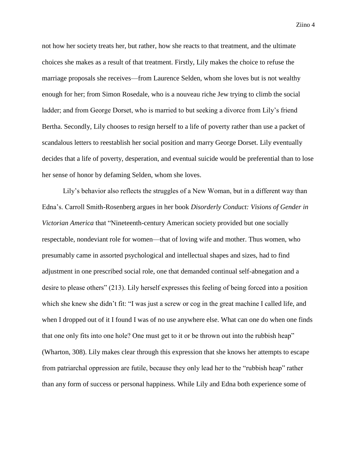not how her society treats her, but rather, how she reacts to that treatment, and the ultimate choices she makes as a result of that treatment. Firstly, Lily makes the choice to refuse the marriage proposals she receives—from Laurence Selden, whom she loves but is not wealthy enough for her; from Simon Rosedale, who is a nouveau riche Jew trying to climb the social ladder; and from George Dorset, who is married to but seeking a divorce from Lily's friend Bertha. Secondly, Lily chooses to resign herself to a life of poverty rather than use a packet of scandalous letters to reestablish her social position and marry George Dorset. Lily eventually decides that a life of poverty, desperation, and eventual suicide would be preferential than to lose her sense of honor by defaming Selden, whom she loves.

Lily's behavior also reflects the struggles of a New Woman, but in a different way than Edna's. Carroll Smith-Rosenberg argues in her book *Disorderly Conduct: Visions of Gender in Victorian America* that "Nineteenth-century American society provided but one socially respectable, nondeviant role for women—that of loving wife and mother. Thus women, who presumably came in assorted psychological and intellectual shapes and sizes, had to find adjustment in one prescribed social role, one that demanded continual self-abnegation and a desire to please others" (213). Lily herself expresses this feeling of being forced into a position which she knew she didn't fit: "I was just a screw or cog in the great machine I called life, and when I dropped out of it I found I was of no use anywhere else. What can one do when one finds that one only fits into one hole? One must get to it or be thrown out into the rubbish heap" (Wharton, 308). Lily makes clear through this expression that she knows her attempts to escape from patriarchal oppression are futile, because they only lead her to the "rubbish heap" rather than any form of success or personal happiness. While Lily and Edna both experience some of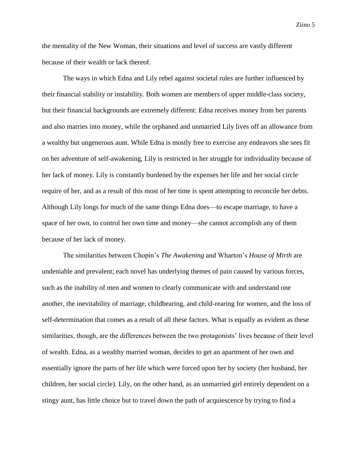the mentality of the New Woman, their situations and level of success are vastly different

because of their wealth or lack thereof.

The ways in which Edna and Lily rebel against societal rules are further influenced by their financial stability or instability. Both women are members of upper middle-class society, but their financial backgrounds are extremely different: Edna receives money from her parents and also marries into money, while the orphaned and unmarried Lily lives off an allowance from a wealthy but ungenerous aunt. While Edna is mostly free to exercise any endeavors she sees fit on her adventure of self-awakening, Lily is restricted in her struggle for individuality because of her lack of money. Lily is constantly burdened by the expenses her life and her social circle require of her, and as a result of this most of her time is spent attempting to reconcile her debts. Although Lily longs for much of the same things Edna does—to escape marriage, to have a space of her own, to control her own time and money—she cannot accomplish any of them because of her lack of money.

The similarities between Chopin's *The Awakening* and Wharton's *House of Mirth* are undeniable and prevalent; each novel has underlying themes of pain caused by various forces, such as the inability of men and women to clearly communicate with and understand one another, the inevitability of marriage, childbearing, and child-rearing for women, and the loss of self-determination that comes as a result of all these factors. What is equally as evident as these similarities, though, are the differences between the two protagonists' lives because of their level of wealth. Edna, as a wealthy married woman, decides to get an apartment of her own and essentially ignore the parts of her life which were forced upon her by society (her husband, her children, her social circle). Lily, on the other hand, as an unmarried girl entirely dependent on a stingy aunt, has little choice but to travel down the path of acquiescence by trying to find a

Ziino 5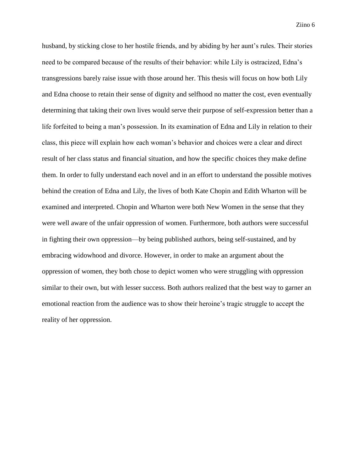husband, by sticking close to her hostile friends, and by abiding by her aunt's rules. Their stories need to be compared because of the results of their behavior: while Lily is ostracized, Edna's transgressions barely raise issue with those around her. This thesis will focus on how both Lily and Edna choose to retain their sense of dignity and selfhood no matter the cost, even eventually determining that taking their own lives would serve their purpose of self-expression better than a life forfeited to being a man's possession. In its examination of Edna and Lily in relation to their class, this piece will explain how each woman's behavior and choices were a clear and direct result of her class status and financial situation, and how the specific choices they make define them. In order to fully understand each novel and in an effort to understand the possible motives behind the creation of Edna and Lily, the lives of both Kate Chopin and Edith Wharton will be examined and interpreted. Chopin and Wharton were both New Women in the sense that they were well aware of the unfair oppression of women. Furthermore, both authors were successful in fighting their own oppression—by being published authors, being self-sustained, and by embracing widowhood and divorce. However, in order to make an argument about the oppression of women, they both chose to depict women who were struggling with oppression similar to their own, but with lesser success. Both authors realized that the best way to garner an emotional reaction from the audience was to show their heroine's tragic struggle to accept the reality of her oppression.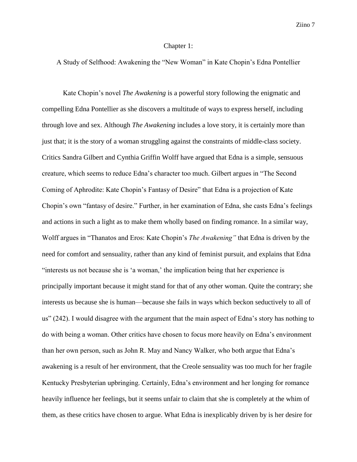#### Chapter 1:

A Study of Selfhood: Awakening the "New Woman" in Kate Chopin's Edna Pontellier

Kate Chopin's novel *The Awakening* is a powerful story following the enigmatic and compelling Edna Pontellier as she discovers a multitude of ways to express herself, including through love and sex. Although *The Awakening* includes a love story, it is certainly more than just that; it is the story of a woman struggling against the constraints of middle-class society. Critics Sandra Gilbert and Cynthia Griffin Wolff have argued that Edna is a simple, sensuous creature, which seems to reduce Edna's character too much. Gilbert argues in "The Second Coming of Aphrodite: Kate Chopin's Fantasy of Desire" that Edna is a projection of Kate Chopin's own "fantasy of desire." Further, in her examination of Edna, she casts Edna's feelings and actions in such a light as to make them wholly based on finding romance. In a similar way, Wolff argues in "Thanatos and Eros: Kate Chopin's *The Awakening"* that Edna is driven by the need for comfort and sensuality, rather than any kind of feminist pursuit, and explains that Edna "interests us not because she is 'a woman,' the implication being that her experience is principally important because it might stand for that of any other woman. Quite the contrary; she interests us because she is human—because she fails in ways which beckon seductively to all of us" (242). I would disagree with the argument that the main aspect of Edna's story has nothing to do with being a woman. Other critics have chosen to focus more heavily on Edna's environment than her own person, such as John R. May and Nancy Walker, who both argue that Edna's awakening is a result of her environment, that the Creole sensuality was too much for her fragile Kentucky Presbyterian upbringing. Certainly, Edna's environment and her longing for romance heavily influence her feelings, but it seems unfair to claim that she is completely at the whim of them, as these critics have chosen to argue. What Edna is inexplicably driven by is her desire for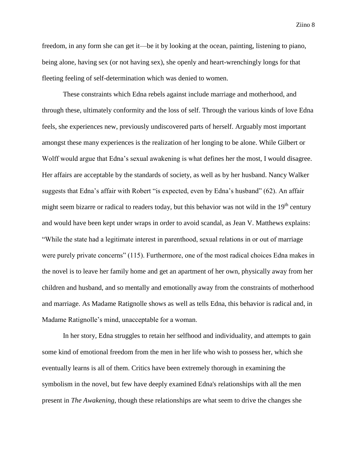freedom, in any form she can get it—be it by looking at the ocean, painting, listening to piano, being alone, having sex (or not having sex), she openly and heart-wrenchingly longs for that fleeting feeling of self-determination which was denied to women.

These constraints which Edna rebels against include marriage and motherhood, and through these, ultimately conformity and the loss of self. Through the various kinds of love Edna feels, she experiences new, previously undiscovered parts of herself. Arguably most important amongst these many experiences is the realization of her longing to be alone. While Gilbert or Wolff would argue that Edna's sexual awakening is what defines her the most, I would disagree. Her affairs are acceptable by the standards of society, as well as by her husband. Nancy Walker suggests that Edna's affair with Robert "is expected, even by Edna's husband" (62). An affair might seem bizarre or radical to readers today, but this behavior was not wild in the  $19<sup>th</sup>$  century and would have been kept under wraps in order to avoid scandal, as Jean V. Matthews explains: "While the state had a legitimate interest in parenthood, sexual relations in or out of marriage were purely private concerns" (115). Furthermore, one of the most radical choices Edna makes in the novel is to leave her family home and get an apartment of her own, physically away from her children and husband, and so mentally and emotionally away from the constraints of motherhood and marriage. As Madame Ratignolle shows as well as tells Edna, this behavior is radical and, in Madame Ratignolle's mind, unacceptable for a woman.

In her story, Edna struggles to retain her selfhood and individuality, and attempts to gain some kind of emotional freedom from the men in her life who wish to possess her, which she eventually learns is all of them. Critics have been extremely thorough in examining the symbolism in the novel, but few have deeply examined Edna's relationships with all the men present in *The Awakening*, though these relationships are what seem to drive the changes she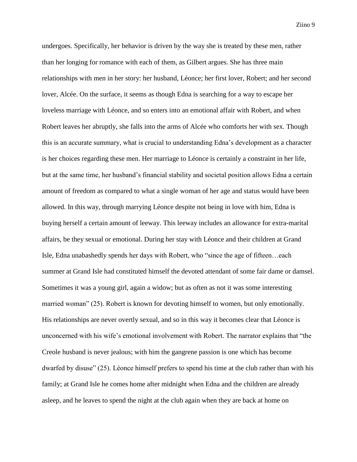undergoes. Specifically, her behavior is driven by the way she is treated by these men, rather than her longing for romance with each of them, as Gilbert argues. She has three main relationships with men in her story: her husband, Léonce; her first lover, Robert; and her second lover, Alcée. On the surface, it seems as though Edna is searching for a way to escape her loveless marriage with Léonce, and so enters into an emotional affair with Robert, and when Robert leaves her abruptly, she falls into the arms of Alcée who comforts her with sex. Though this is an accurate summary, what is crucial to understanding Edna's development as a character is her choices regarding these men. Her marriage to Léonce is certainly a constraint in her life, but at the same time, her husband's financial stability and societal position allows Edna a certain amount of freedom as compared to what a single woman of her age and status would have been allowed. In this way, through marrying Léonce despite not being in love with him, Edna is buying herself a certain amount of leeway. This leeway includes an allowance for extra-marital affairs, be they sexual or emotional. During her stay with Léonce and their children at Grand Isle, Edna unabashedly spends her days with Robert, who "since the age of fifteen…each summer at Grand Isle had constituted himself the devoted attendant of some fair dame or damsel. Sometimes it was a young girl, again a widow; but as often as not it was some interesting married woman" (25). Robert is known for devoting himself to women, but only emotionally. His relationships are never overtly sexual, and so in this way it becomes clear that Léonce is unconcerned with his wife's emotional involvement with Robert. The narrator explains that "the Creole husband is never jealous; with him the gangrene passion is one which has become dwarfed by disuse" (25). Léonce himself prefers to spend his time at the club rather than with his family; at Grand Isle he comes home after midnight when Edna and the children are already asleep, and he leaves to spend the night at the club again when they are back at home on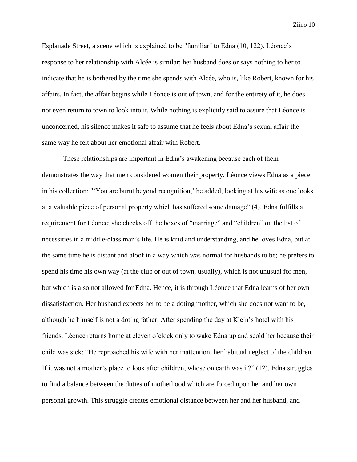Esplanade Street, a scene which is explained to be "familiar" to Edna (10, 122). Léonce's response to her relationship with Alcée is similar; her husband does or says nothing to her to indicate that he is bothered by the time she spends with Alcée, who is, like Robert, known for his affairs. In fact, the affair begins while Léonce is out of town, and for the entirety of it, he does not even return to town to look into it. While nothing is explicitly said to assure that Léonce is unconcerned, his silence makes it safe to assume that he feels about Edna's sexual affair the same way he felt about her emotional affair with Robert.

These relationships are important in Edna's awakening because each of them demonstrates the way that men considered women their property. Léonce views Edna as a piece in his collection: "'You are burnt beyond recognition,' he added, looking at his wife as one looks at a valuable piece of personal property which has suffered some damage" (4). Edna fulfills a requirement for Léonce; she checks off the boxes of "marriage" and "children" on the list of necessities in a middle-class man's life. He is kind and understanding, and he loves Edna, but at the same time he is distant and aloof in a way which was normal for husbands to be; he prefers to spend his time his own way (at the club or out of town, usually), which is not unusual for men, but which is also not allowed for Edna. Hence, it is through Léonce that Edna learns of her own dissatisfaction. Her husband expects her to be a doting mother, which she does not want to be, although he himself is not a doting father. After spending the day at Klein's hotel with his friends, Léonce returns home at eleven o'clock only to wake Edna up and scold her because their child was sick: "He reproached his wife with her inattention, her habitual neglect of the children. If it was not a mother's place to look after children, whose on earth was it?" (12). Edna struggles to find a balance between the duties of motherhood which are forced upon her and her own personal growth. This struggle creates emotional distance between her and her husband, and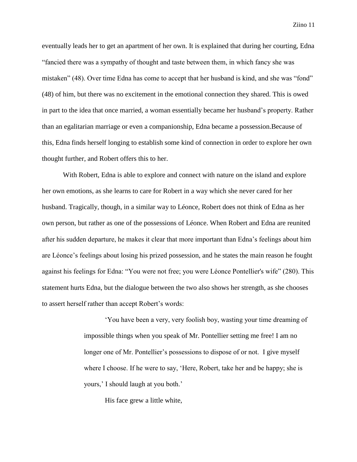eventually leads her to get an apartment of her own. It is explained that during her courting, Edna "fancied there was a sympathy of thought and taste between them, in which fancy she was mistaken" (48). Over time Edna has come to accept that her husband is kind, and she was "fond" (48) of him, but there was no excitement in the emotional connection they shared. This is owed in part to the idea that once married, a woman essentially became her husband's property. Rather than an egalitarian marriage or even a companionship, Edna became a possession.Because of this, Edna finds herself longing to establish some kind of connection in order to explore her own thought further, and Robert offers this to her.

With Robert, Edna is able to explore and connect with nature on the island and explore her own emotions, as she learns to care for Robert in a way which she never cared for her husband. Tragically, though, in a similar way to Léonce, Robert does not think of Edna as her own person, but rather as one of the possessions of Léonce. When Robert and Edna are reunited after his sudden departure, he makes it clear that more important than Edna's feelings about him are Léonce's feelings about losing his prized possession, and he states the main reason he fought against his feelings for Edna: "You were not free; you were Léonce Pontellier's wife" (280). This statement hurts Edna, but the dialogue between the two also shows her strength, as she chooses to assert herself rather than accept Robert's words:

> 'You have been a very, very foolish boy, wasting your time dreaming of impossible things when you speak of Mr. Pontellier setting me free! I am no longer one of Mr. Pontellier's possessions to dispose of or not. I give myself where I choose. If he were to say, 'Here, Robert, take her and be happy; she is yours,' I should laugh at you both.'

His face grew a little white,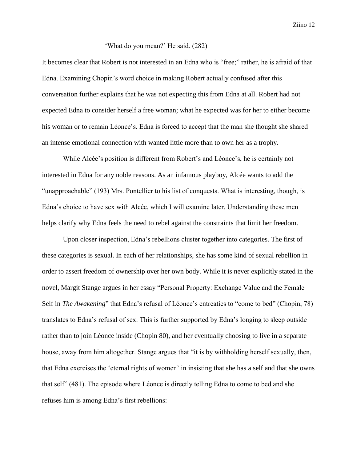## 'What do you mean?' He said. (282)

It becomes clear that Robert is not interested in an Edna who is "free;" rather, he is afraid of that Edna. Examining Chopin's word choice in making Robert actually confused after this conversation further explains that he was not expecting this from Edna at all. Robert had not expected Edna to consider herself a free woman; what he expected was for her to either become his woman or to remain Léonce's. Edna is forced to accept that the man she thought she shared an intense emotional connection with wanted little more than to own her as a trophy.

While Alcée's position is different from Robert's and Léonce's, he is certainly not interested in Edna for any noble reasons. As an infamous playboy, Alcée wants to add the "unapproachable" (193) Mrs. Pontellier to his list of conquests. What is interesting, though, is Edna's choice to have sex with Alcée, which I will examine later. Understanding these men helps clarify why Edna feels the need to rebel against the constraints that limit her freedom.

Upon closer inspection, Edna's rebellions cluster together into categories. The first of these categories is sexual. In each of her relationships, she has some kind of sexual rebellion in order to assert freedom of ownership over her own body. While it is never explicitly stated in the novel, Margit Stange argues in her essay "Personal Property: Exchange Value and the Female Self in *The Awakening*" that Edna's refusal of Léonce's entreaties to "come to bed" (Chopin, 78) translates to Edna's refusal of sex. This is further supported by Edna's longing to sleep outside rather than to join Léonce inside (Chopin 80), and her eventually choosing to live in a separate house, away from him altogether. Stange argues that "it is by withholding herself sexually, then, that Edna exercises the 'eternal rights of women' in insisting that she has a self and that she owns that self" (481). The episode where Léonce is directly telling Edna to come to bed and she refuses him is among Edna's first rebellions: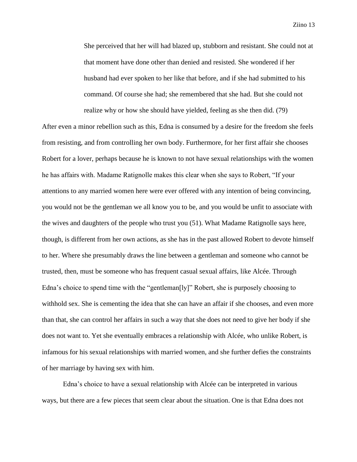She perceived that her will had blazed up, stubborn and resistant. She could not at that moment have done other than denied and resisted. She wondered if her husband had ever spoken to her like that before, and if she had submitted to his command. Of course she had; she remembered that she had. But she could not realize why or how she should have yielded, feeling as she then did. (79)

After even a minor rebellion such as this, Edna is consumed by a desire for the freedom she feels from resisting, and from controlling her own body. Furthermore, for her first affair she chooses Robert for a lover, perhaps because he is known to not have sexual relationships with the women he has affairs with. Madame Ratignolle makes this clear when she says to Robert, "If your attentions to any married women here were ever offered with any intention of being convincing, you would not be the gentleman we all know you to be, and you would be unfit to associate with the wives and daughters of the people who trust you (51). What Madame Ratignolle says here, though, is different from her own actions, as she has in the past allowed Robert to devote himself to her. Where she presumably draws the line between a gentleman and someone who cannot be trusted, then, must be someone who has frequent casual sexual affairs, like Alcée. Through Edna's choice to spend time with the "gentleman[ly]" Robert, she is purposely choosing to withhold sex. She is cementing the idea that she can have an affair if she chooses, and even more than that, she can control her affairs in such a way that she does not need to give her body if she does not want to. Yet she eventually embraces a relationship with Alcée, who unlike Robert, is infamous for his sexual relationships with married women, and she further defies the constraints of her marriage by having sex with him.

Edna's choice to have a sexual relationship with Alcée can be interpreted in various ways, but there are a few pieces that seem clear about the situation. One is that Edna does not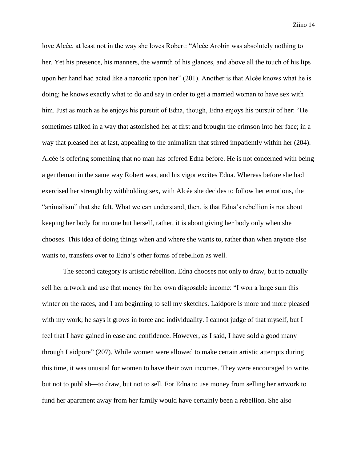love Alcée, at least not in the way she loves Robert: "Alcée Arobin was absolutely nothing to her. Yet his presence, his manners, the warmth of his glances, and above all the touch of his lips upon her hand had acted like a narcotic upon her" (201). Another is that Alcée knows what he is doing; he knows exactly what to do and say in order to get a married woman to have sex with him. Just as much as he enjoys his pursuit of Edna, though, Edna enjoys his pursuit of her: "He sometimes talked in a way that astonished her at first and brought the crimson into her face; in a way that pleased her at last, appealing to the animalism that stirred impatiently within her (204). Alcée is offering something that no man has offered Edna before. He is not concerned with being a gentleman in the same way Robert was, and his vigor excites Edna. Whereas before she had exercised her strength by withholding sex, with Alcée she decides to follow her emotions, the "animalism" that she felt. What we can understand, then, is that Edna's rebellion is not about keeping her body for no one but herself, rather, it is about giving her body only when she chooses. This idea of doing things when and where she wants to, rather than when anyone else wants to, transfers over to Edna's other forms of rebellion as well.

The second category is artistic rebellion. Edna chooses not only to draw, but to actually sell her artwork and use that money for her own disposable income: "I won a large sum this winter on the races, and I am beginning to sell my sketches. Laidpore is more and more pleased with my work; he says it grows in force and individuality. I cannot judge of that myself, but I feel that I have gained in ease and confidence. However, as I said, I have sold a good many through Laidpore" (207). While women were allowed to make certain artistic attempts during this time, it was unusual for women to have their own incomes. They were encouraged to write, but not to publish—to draw, but not to sell. For Edna to use money from selling her artwork to fund her apartment away from her family would have certainly been a rebellion. She also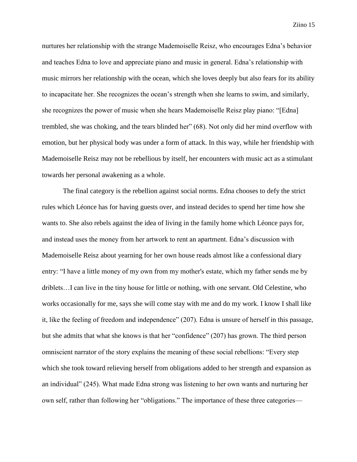nurtures her relationship with the strange Mademoiselle Reisz, who encourages Edna's behavior and teaches Edna to love and appreciate piano and music in general. Edna's relationship with music mirrors her relationship with the ocean, which she loves deeply but also fears for its ability to incapacitate her. She recognizes the ocean's strength when she learns to swim, and similarly, she recognizes the power of music when she hears Mademoiselle Reisz play piano: "[Edna] trembled, she was choking, and the tears blinded her" (68). Not only did her mind overflow with emotion, but her physical body was under a form of attack. In this way, while her friendship with Mademoiselle Reisz may not be rebellious by itself, her encounters with music act as a stimulant towards her personal awakening as a whole.

The final category is the rebellion against social norms. Edna chooses to defy the strict rules which Léonce has for having guests over, and instead decides to spend her time how she wants to. She also rebels against the idea of living in the family home which Léonce pays for, and instead uses the money from her artwork to rent an apartment. Edna's discussion with Mademoiselle Reisz about yearning for her own house reads almost like a confessional diary entry: "I have a little money of my own from my mother's estate, which my father sends me by driblets…I can live in the tiny house for little or nothing, with one servant. Old Celestine, who works occasionally for me, says she will come stay with me and do my work. I know I shall like it, like the feeling of freedom and independence" (207). Edna is unsure of herself in this passage, but she admits that what she knows is that her "confidence" (207) has grown. The third person omniscient narrator of the story explains the meaning of these social rebellions: "Every step which she took toward relieving herself from obligations added to her strength and expansion as an individual" (245). What made Edna strong was listening to her own wants and nurturing her own self, rather than following her "obligations." The importance of these three categories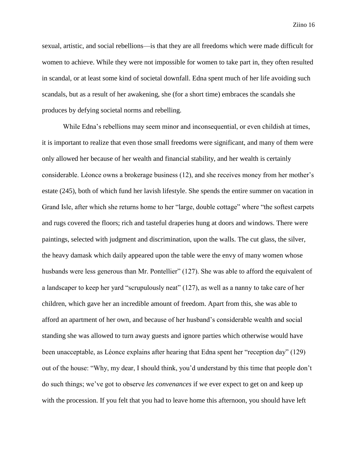sexual, artistic, and social rebellions—is that they are all freedoms which were made difficult for women to achieve. While they were not impossible for women to take part in, they often resulted in scandal, or at least some kind of societal downfall. Edna spent much of her life avoiding such scandals, but as a result of her awakening, she (for a short time) embraces the scandals she produces by defying societal norms and rebelling.

While Edna's rebellions may seem minor and inconsequential, or even childish at times, it is important to realize that even those small freedoms were significant, and many of them were only allowed her because of her wealth and financial stability, and her wealth is certainly considerable. Léonce owns a brokerage business (12), and she receives money from her mother's estate (245), both of which fund her lavish lifestyle. She spends the entire summer on vacation in Grand Isle, after which she returns home to her "large, double cottage" where "the softest carpets and rugs covered the floors; rich and tasteful draperies hung at doors and windows. There were paintings, selected with judgment and discrimination, upon the walls. The cut glass, the silver, the heavy damask which daily appeared upon the table were the envy of many women whose husbands were less generous than Mr. Pontellier" (127). She was able to afford the equivalent of a landscaper to keep her yard "scrupulously neat" (127), as well as a nanny to take care of her children, which gave her an incredible amount of freedom. Apart from this, she was able to afford an apartment of her own, and because of her husband's considerable wealth and social standing she was allowed to turn away guests and ignore parties which otherwise would have been unacceptable, as Léonce explains after hearing that Edna spent her "reception day" (129) out of the house: "Why, my dear, I should think, you'd understand by this time that people don't do such things; we've got to observe *les convenances* if we ever expect to get on and keep up with the procession. If you felt that you had to leave home this afternoon, you should have left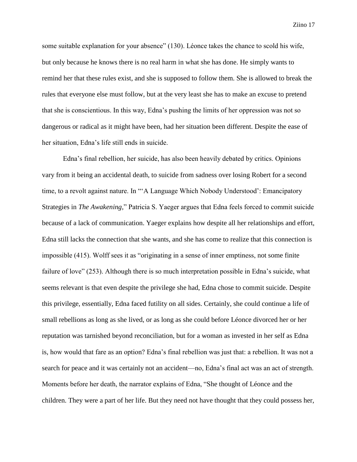some suitable explanation for your absence" (130). Léonce takes the chance to scold his wife, but only because he knows there is no real harm in what she has done. He simply wants to remind her that these rules exist, and she is supposed to follow them. She is allowed to break the rules that everyone else must follow, but at the very least she has to make an excuse to pretend that she is conscientious. In this way, Edna's pushing the limits of her oppression was not so dangerous or radical as it might have been, had her situation been different. Despite the ease of her situation, Edna's life still ends in suicide.

Edna's final rebellion, her suicide, has also been heavily debated by critics. Opinions vary from it being an accidental death, to suicide from sadness over losing Robert for a second time, to a revolt against nature. In "A Language Which Nobody Understood': Emancipatory Strategies in *The Awakening,*" Patricia S. Yaeger argues that Edna feels forced to commit suicide because of a lack of communication. Yaeger explains how despite all her relationships and effort, Edna still lacks the connection that she wants, and she has come to realize that this connection is impossible (415). Wolff sees it as "originating in a sense of inner emptiness, not some finite failure of love" (253). Although there is so much interpretation possible in Edna's suicide, what seems relevant is that even despite the privilege she had, Edna chose to commit suicide. Despite this privilege, essentially, Edna faced futility on all sides. Certainly, she could continue a life of small rebellions as long as she lived, or as long as she could before Léonce divorced her or her reputation was tarnished beyond reconciliation, but for a woman as invested in her self as Edna is, how would that fare as an option? Edna's final rebellion was just that: a rebellion. It was not a search for peace and it was certainly not an accident—no, Edna's final act was an act of strength. Moments before her death, the narrator explains of Edna, "She thought of Léonce and the children. They were a part of her life. But they need not have thought that they could possess her,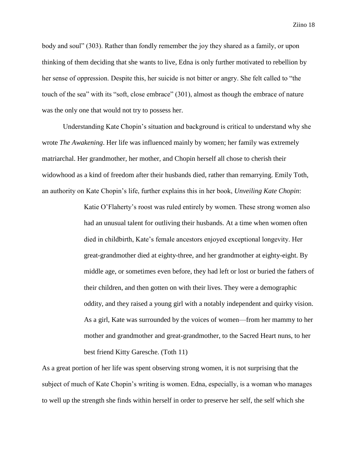body and soul" (303). Rather than fondly remember the joy they shared as a family, or upon thinking of them deciding that she wants to live, Edna is only further motivated to rebellion by her sense of oppression. Despite this, her suicide is not bitter or angry. She felt called to "the touch of the sea" with its "soft, close embrace" (301), almost as though the embrace of nature was the only one that would not try to possess her.

Understanding Kate Chopin's situation and background is critical to understand why she wrote *The Awakening*. Her life was influenced mainly by women; her family was extremely matriarchal. Her grandmother, her mother, and Chopin herself all chose to cherish their widowhood as a kind of freedom after their husbands died, rather than remarrying. Emily Toth, an authority on Kate Chopin's life, further explains this in her book, *Unveiling Kate Chopin*:

> Katie O'Flaherty's roost was ruled entirely by women. These strong women also had an unusual talent for outliving their husbands. At a time when women often died in childbirth, Kate's female ancestors enjoyed exceptional longevity. Her great-grandmother died at eighty-three, and her grandmother at eighty-eight. By middle age, or sometimes even before, they had left or lost or buried the fathers of their children, and then gotten on with their lives. They were a demographic oddity, and they raised a young girl with a notably independent and quirky vision. As a girl, Kate was surrounded by the voices of women—from her mammy to her mother and grandmother and great-grandmother, to the Sacred Heart nuns, to her best friend Kitty Garesche. (Toth 11)

As a great portion of her life was spent observing strong women, it is not surprising that the subject of much of Kate Chopin's writing is women. Edna, especially, is a woman who manages to well up the strength she finds within herself in order to preserve her self, the self which she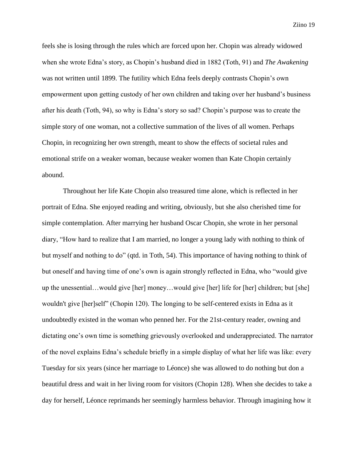feels she is losing through the rules which are forced upon her. Chopin was already widowed when she wrote Edna's story, as Chopin's husband died in 1882 (Toth, 91) and *The Awakening*  was not written until 1899. The futility which Edna feels deeply contrasts Chopin's own empowerment upon getting custody of her own children and taking over her husband's business after his death (Toth, 94), so why is Edna's story so sad? Chopin's purpose was to create the simple story of one woman, not a collective summation of the lives of all women. Perhaps Chopin, in recognizing her own strength, meant to show the effects of societal rules and emotional strife on a weaker woman, because weaker women than Kate Chopin certainly abound.

Throughout her life Kate Chopin also treasured time alone, which is reflected in her portrait of Edna. She enjoyed reading and writing, obviously, but she also cherished time for simple contemplation. After marrying her husband Oscar Chopin, she wrote in her personal diary, "How hard to realize that I am married, no longer a young lady with nothing to think of but myself and nothing to do" (qtd. in Toth, 54). This importance of having nothing to think of but oneself and having time of one's own is again strongly reflected in Edna, who "would give up the unessential…would give [her] money…would give [her] life for [her] children; but [she] wouldn't give [her]self" (Chopin 120). The longing to be self-centered exists in Edna as it undoubtedly existed in the woman who penned her. For the 21st-century reader, owning and dictating one's own time is something grievously overlooked and underappreciated. The narrator of the novel explains Edna's schedule briefly in a simple display of what her life was like: every Tuesday for six years (since her marriage to Léonce) she was allowed to do nothing but don a beautiful dress and wait in her living room for visitors (Chopin 128). When she decides to take a day for herself, Léonce reprimands her seemingly harmless behavior. Through imagining how it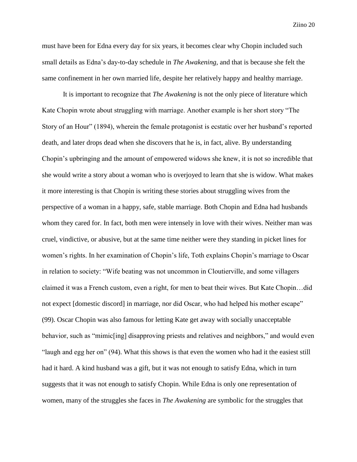must have been for Edna every day for six years, it becomes clear why Chopin included such small details as Edna's day-to-day schedule in *The Awakening,* and that is because she felt the same confinement in her own married life, despite her relatively happy and healthy marriage.

It is important to recognize that *The Awakening* is not the only piece of literature which Kate Chopin wrote about struggling with marriage. Another example is her short story "The Story of an Hour" (1894), wherein the female protagonist is ecstatic over her husband's reported death, and later drops dead when she discovers that he is, in fact, alive. By understanding Chopin's upbringing and the amount of empowered widows she knew, it is not so incredible that she would write a story about a woman who is overjoyed to learn that she is widow. What makes it more interesting is that Chopin is writing these stories about struggling wives from the perspective of a woman in a happy, safe, stable marriage. Both Chopin and Edna had husbands whom they cared for. In fact, both men were intensely in love with their wives. Neither man was cruel, vindictive, or abusive, but at the same time neither were they standing in picket lines for women's rights. In her examination of Chopin's life, Toth explains Chopin's marriage to Oscar in relation to society: "Wife beating was not uncommon in Cloutierville, and some villagers claimed it was a French custom, even a right, for men to beat their wives. But Kate Chopin…did not expect [domestic discord] in marriage, nor did Oscar, who had helped his mother escape" (99). Oscar Chopin was also famous for letting Kate get away with socially unacceptable behavior, such as "mimic[ing] disapproving priests and relatives and neighbors," and would even "laugh and egg her on" (94). What this shows is that even the women who had it the easiest still had it hard. A kind husband was a gift, but it was not enough to satisfy Edna, which in turn suggests that it was not enough to satisfy Chopin. While Edna is only one representation of women, many of the struggles she faces in *The Awakening* are symbolic for the struggles that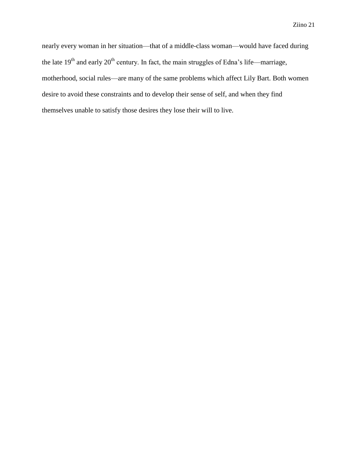nearly every woman in her situation—that of a middle-class woman—would have faced during the late  $19<sup>th</sup>$  and early  $20<sup>th</sup>$  century. In fact, the main struggles of Edna's life—marriage, motherhood, social rules—are many of the same problems which affect Lily Bart. Both women desire to avoid these constraints and to develop their sense of self, and when they find themselves unable to satisfy those desires they lose their will to live.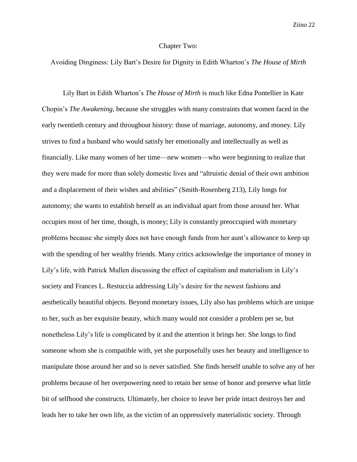## Chapter Two:

Avoiding Dinginess: Lily Bart's Desire for Dignity in Edith Wharton's *The House of Mirth*

Lily Bart in Edith Wharton's *The House of Mirth* is much like Edna Pontellier in Kate Chopin's *The Awakening,* because she struggles with many constraints that women faced in the early twentieth century and throughout history: those of marriage, autonomy, and money. Lily strives to find a husband who would satisfy her emotionally and intellectually as well as financially. Like many women of her time—new women—who were beginning to realize that they were made for more than solely domestic lives and "altruistic denial of their own ambition and a displacement of their wishes and abilities" (Smith-Rosenberg 213), Lily longs for autonomy; she wants to establish herself as an individual apart from those around her. What occupies most of her time, though, is money; Lily is constantly preoccupied with monetary problems because she simply does not have enough funds from her aunt's allowance to keep up with the spending of her wealthy friends. Many critics acknowledge the importance of money in Lily's life, with Patrick Mullen discussing the effect of capitalism and materialism in Lily's society and Frances L. Restuccia addressing Lily's desire for the newest fashions and aesthetically beautiful objects. Beyond monetary issues, Lily also has problems which are unique to her, such as her exquisite beauty, which many would not consider a problem per se, but nonetheless Lily's life is complicated by it and the attention it brings her. She longs to find someone whom she is compatible with, yet she purposefully uses her beauty and intelligence to manipulate those around her and so is never satisfied. She finds herself unable to solve any of her problems because of her overpowering need to retain her sense of honor and preserve what little bit of selfhood she constructs. Ultimately, her choice to leave her pride intact destroys her and leads her to take her own life, as the victim of an oppressively materialistic society. Through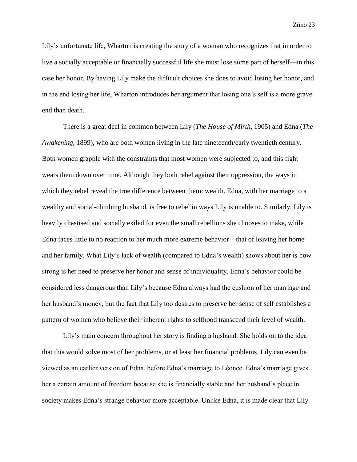Lily's unfortunate life, Wharton is creating the story of a woman who recognizes that in order to live a socially acceptable or financially successful life she must lose some part of herself—in this case her honor. By having Lily make the difficult choices she does to avoid losing her honor, and in the end losing her life, Wharton introduces her argument that losing one's self is a more grave end than death.

There is a great deal in common between Lily (*The House of Mirth,* 1905) and Edna (*The Awakening,* 1899), who are both women living in the late nineteenth/early twentieth century. Both women grapple with the constraints that most women were subjected to, and this fight wears them down over time. Although they both rebel against their oppression, the ways in which they rebel reveal the true difference between them: wealth. Edna, with her marriage to a wealthy and social-climbing husband, is free to rebel in ways Lily is unable to. Similarly, Lily is heavily chastised and socially exiled for even the small rebellions she chooses to make, while Edna faces little to no reaction to her much more extreme behavior—that of leaving her home and her family. What Lily's lack of wealth (compared to Edna's wealth) shows about her is how strong is her need to preserve her honor and sense of individuality. Edna's behavior could be considered less dangerous than Lily's because Edna always had the cushion of her marriage and her husband's money, but the fact that Lily too desires to preserve her sense of self establishes a pattern of women who believe their inherent rights to selfhood transcend their level of wealth.

Lily's main concern throughout her story is finding a husband. She holds on to the idea that this would solve most of her problems, or at least her financial problems. Lily can even be viewed as an earlier version of Edna, before Edna's marriage to Léonce. Edna's marriage gives her a certain amount of freedom because she is financially stable and her husband's place in society makes Edna's strange behavior more acceptable. Unlike Edna, it is made clear that Lily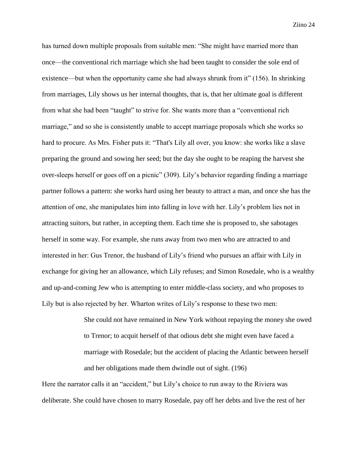has turned down multiple proposals from suitable men: "She might have married more than once—the conventional rich marriage which she had been taught to consider the sole end of existence—but when the opportunity came she had always shrunk from it" (156). In shrinking from marriages, Lily shows us her internal thoughts, that is, that her ultimate goal is different from what she had been "taught" to strive for. She wants more than a "conventional rich marriage," and so she is consistently unable to accept marriage proposals which she works so hard to procure. As Mrs. Fisher puts it: "That's Lily all over, you know: she works like a slave preparing the ground and sowing her seed; but the day she ought to be reaping the harvest she over-sleeps herself or goes off on a picnic" (309). Lily's behavior regarding finding a marriage partner follows a pattern: she works hard using her beauty to attract a man, and once she has the attention of one, she manipulates him into falling in love with her. Lily's problem lies not in attracting suitors, but rather, in accepting them. Each time she is proposed to, she sabotages herself in some way. For example, she runs away from two men who are attracted to and interested in her: Gus Trenor, the husband of Lily's friend who pursues an affair with Lily in exchange for giving her an allowance, which Lily refuses; and Simon Rosedale, who is a wealthy and up-and-coming Jew who is attempting to enter middle-class society, and who proposes to Lily but is also rejected by her. Wharton writes of Lily's response to these two men:

> She could not have remained in New York without repaying the money she owed to Trenor; to acquit herself of that odious debt she might even have faced a marriage with Rosedale; but the accident of placing the Atlantic between herself and her obligations made them dwindle out of sight. (196)

Here the narrator calls it an "accident," but Lily's choice to run away to the Riviera was deliberate. She could have chosen to marry Rosedale, pay off her debts and live the rest of her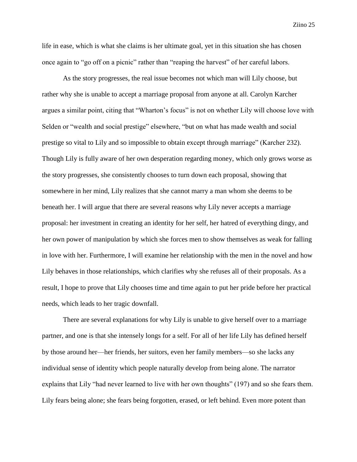life in ease, which is what she claims is her ultimate goal, yet in this situation she has chosen once again to "go off on a picnic" rather than "reaping the harvest" of her careful labors.

As the story progresses, the real issue becomes not which man will Lily choose, but rather why she is unable to accept a marriage proposal from anyone at all. Carolyn Karcher argues a similar point, citing that "Wharton's focus" is not on whether Lily will choose love with Selden or "wealth and social prestige" elsewhere, "but on what has made wealth and social prestige so vital to Lily and so impossible to obtain except through marriage" (Karcher 232). Though Lily is fully aware of her own desperation regarding money, which only grows worse as the story progresses, she consistently chooses to turn down each proposal, showing that somewhere in her mind, Lily realizes that she cannot marry a man whom she deems to be beneath her. I will argue that there are several reasons why Lily never accepts a marriage proposal: her investment in creating an identity for her self, her hatred of everything dingy, and her own power of manipulation by which she forces men to show themselves as weak for falling in love with her. Furthermore, I will examine her relationship with the men in the novel and how Lily behaves in those relationships, which clarifies why she refuses all of their proposals. As a result, I hope to prove that Lily chooses time and time again to put her pride before her practical needs, which leads to her tragic downfall.

There are several explanations for why Lily is unable to give herself over to a marriage partner, and one is that she intensely longs for a self. For all of her life Lily has defined herself by those around her—her friends, her suitors, even her family members—so she lacks any individual sense of identity which people naturally develop from being alone. The narrator explains that Lily "had never learned to live with her own thoughts" (197) and so she fears them. Lily fears being alone; she fears being forgotten, erased, or left behind. Even more potent than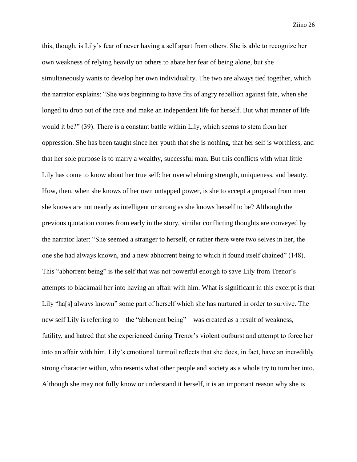this, though, is Lily's fear of never having a self apart from others. She is able to recognize her own weakness of relying heavily on others to abate her fear of being alone, but she simultaneously wants to develop her own individuality. The two are always tied together, which the narrator explains: "She was beginning to have fits of angry rebellion against fate, when she longed to drop out of the race and make an independent life for herself. But what manner of life would it be?" (39). There is a constant battle within Lily, which seems to stem from her oppression. She has been taught since her youth that she is nothing, that her self is worthless, and that her sole purpose is to marry a wealthy, successful man. But this conflicts with what little Lily has come to know about her true self: her overwhelming strength, uniqueness, and beauty. How, then, when she knows of her own untapped power, is she to accept a proposal from men she knows are not nearly as intelligent or strong as she knows herself to be? Although the previous quotation comes from early in the story, similar conflicting thoughts are conveyed by the narrator later: "She seemed a stranger to herself, or rather there were two selves in her, the one she had always known, and a new abhorrent being to which it found itself chained" (148). This "abhorrent being" is the self that was not powerful enough to save Lily from Trenor's attempts to blackmail her into having an affair with him. What is significant in this excerpt is that Lily "ha[s] always known" some part of herself which she has nurtured in order to survive. The new self Lily is referring to—the "abhorrent being"—was created as a result of weakness, futility, and hatred that she experienced during Trenor's violent outburst and attempt to force her into an affair with him. Lily's emotional turmoil reflects that she does, in fact, have an incredibly strong character within, who resents what other people and society as a whole try to turn her into. Although she may not fully know or understand it herself, it is an important reason why she is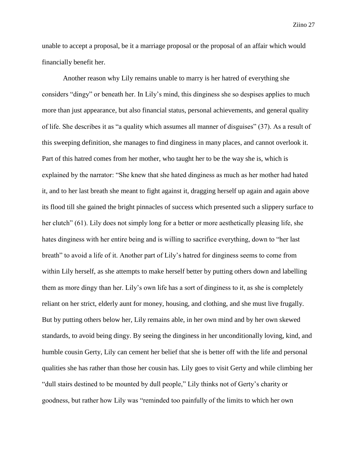unable to accept a proposal, be it a marriage proposal or the proposal of an affair which would financially benefit her.

Another reason why Lily remains unable to marry is her hatred of everything she considers "dingy" or beneath her. In Lily's mind, this dinginess she so despises applies to much more than just appearance, but also financial status, personal achievements, and general quality of life. She describes it as "a quality which assumes all manner of disguises" (37). As a result of this sweeping definition, she manages to find dinginess in many places, and cannot overlook it. Part of this hatred comes from her mother, who taught her to be the way she is, which is explained by the narrator: "She knew that she hated dinginess as much as her mother had hated it, and to her last breath she meant to fight against it, dragging herself up again and again above its flood till she gained the bright pinnacles of success which presented such a slippery surface to her clutch" (61). Lily does not simply long for a better or more aesthetically pleasing life, she hates dinginess with her entire being and is willing to sacrifice everything, down to "her last breath" to avoid a life of it. Another part of Lily's hatred for dinginess seems to come from within Lily herself, as she attempts to make herself better by putting others down and labelling them as more dingy than her. Lily's own life has a sort of dinginess to it, as she is completely reliant on her strict, elderly aunt for money, housing, and clothing, and she must live frugally. But by putting others below her, Lily remains able, in her own mind and by her own skewed standards, to avoid being dingy. By seeing the dinginess in her unconditionally loving, kind, and humble cousin Gerty, Lily can cement her belief that she is better off with the life and personal qualities she has rather than those her cousin has. Lily goes to visit Gerty and while climbing her "dull stairs destined to be mounted by dull people," Lily thinks not of Gerty's charity or goodness, but rather how Lily was "reminded too painfully of the limits to which her own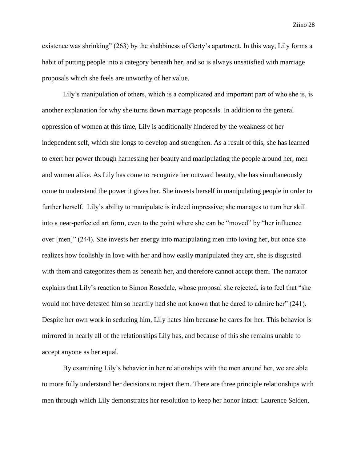existence was shrinking" (263) by the shabbiness of Gerty's apartment. In this way, Lily forms a habit of putting people into a category beneath her, and so is always unsatisfied with marriage proposals which she feels are unworthy of her value.

Lily's manipulation of others, which is a complicated and important part of who she is, is another explanation for why she turns down marriage proposals. In addition to the general oppression of women at this time, Lily is additionally hindered by the weakness of her independent self, which she longs to develop and strengthen. As a result of this, she has learned to exert her power through harnessing her beauty and manipulating the people around her, men and women alike. As Lily has come to recognize her outward beauty, she has simultaneously come to understand the power it gives her. She invests herself in manipulating people in order to further herself. Lily's ability to manipulate is indeed impressive; she manages to turn her skill into a near-perfected art form, even to the point where she can be "moved" by "her influence over [men]" (244). She invests her energy into manipulating men into loving her, but once she realizes how foolishly in love with her and how easily manipulated they are, she is disgusted with them and categorizes them as beneath her, and therefore cannot accept them. The narrator explains that Lily's reaction to Simon Rosedale, whose proposal she rejected, is to feel that "she would not have detested him so heartily had she not known that he dared to admire her" (241). Despite her own work in seducing him, Lily hates him because he cares for her. This behavior is mirrored in nearly all of the relationships Lily has, and because of this she remains unable to accept anyone as her equal.

By examining Lily's behavior in her relationships with the men around her, we are able to more fully understand her decisions to reject them. There are three principle relationships with men through which Lily demonstrates her resolution to keep her honor intact: Laurence Selden,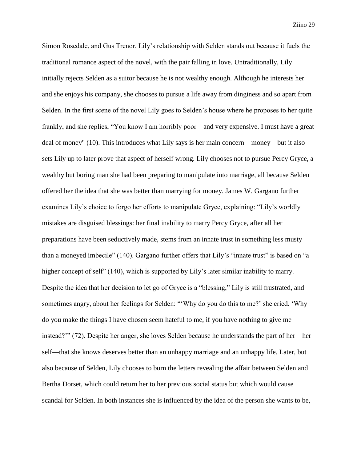Simon Rosedale, and Gus Trenor. Lily's relationship with Selden stands out because it fuels the traditional romance aspect of the novel, with the pair falling in love. Untraditionally, Lily initially rejects Selden as a suitor because he is not wealthy enough. Although he interests her and she enjoys his company, she chooses to pursue a life away from dinginess and so apart from Selden. In the first scene of the novel Lily goes to Selden's house where he proposes to her quite frankly, and she replies, "You know I am horribly poor—and very expensive. I must have a great deal of money" (10). This introduces what Lily says is her main concern—money—but it also sets Lily up to later prove that aspect of herself wrong. Lily chooses not to pursue Percy Gryce, a wealthy but boring man she had been preparing to manipulate into marriage, all because Selden offered her the idea that she was better than marrying for money. James W. Gargano further examines Lily's choice to forgo her efforts to manipulate Gryce, explaining: "Lily's worldly mistakes are disguised blessings: her final inability to marry Percy Gryce, after all her preparations have been seductively made, stems from an innate trust in something less musty than a moneyed imbecile" (140). Gargano further offers that Lily's "innate trust" is based on "a higher concept of self" (140), which is supported by Lily's later similar inability to marry. Despite the idea that her decision to let go of Gryce is a "blessing," Lily is still frustrated, and sometimes angry, about her feelings for Selden: "'Why do you do this to me?' she cried. 'Why do you make the things I have chosen seem hateful to me, if you have nothing to give me instead?'" (72). Despite her anger, she loves Selden because he understands the part of her—her self—that she knows deserves better than an unhappy marriage and an unhappy life. Later, but also because of Selden, Lily chooses to burn the letters revealing the affair between Selden and Bertha Dorset, which could return her to her previous social status but which would cause scandal for Selden. In both instances she is influenced by the idea of the person she wants to be,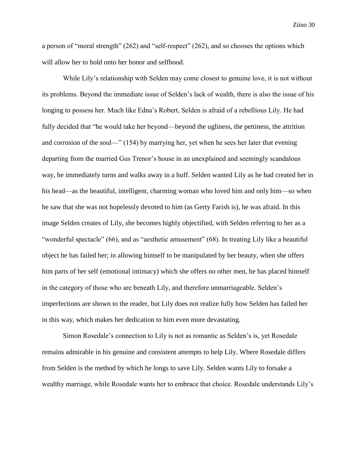a person of "moral strength" (262) and "self-respect" (262), and so chooses the options which will allow her to hold onto her honor and selfhood.

While Lily's relationship with Selden may come closest to genuine love, it is not without its problems. Beyond the immediate issue of Selden's lack of wealth, there is also the issue of his longing to possess her. Much like Edna's Robert, Selden is afraid of a rebellious Lily. He had fully decided that "he would take her beyond—beyond the ugliness, the pettiness, the attrition and corrosion of the soul—" (154) by marrying her, yet when he sees her later that evening departing from the married Gus Trenor's house in an unexplained and seemingly scandalous way, he immediately turns and walks away in a huff. Selden wanted Lily as he had created her in his head—as the beautiful, intelligent, charming woman who loved him and only him—so when he saw that she was not hopelessly devoted to him (as Gerty Farish is), he was afraid. In this image Selden creates of Lily, she becomes highly objectified, with Selden referring to her as a "wonderful spectacle" (66), and as "aesthetic amusement" (68). In treating Lily like a beautiful object he has failed her; in allowing himself to be manipulated by her beauty, when she offers him parts of her self (emotional intimacy) which she offers no other men, he has placed himself in the category of those who are beneath Lily, and therefore unmarriageable. Selden's imperfections are shown to the reader, but Lily does not realize fully how Selden has failed her in this way, which makes her dedication to him even more devastating.

Simon Rosedale's connection to Lily is not as romantic as Selden's is, yet Rosedale remains admirable in his genuine and consistent attempts to help Lily. Where Rosedale differs from Selden is the method by which he longs to save Lily. Selden wants Lily to forsake a wealthy marriage, while Rosedale wants her to embrace that choice. Rosedale understands Lily's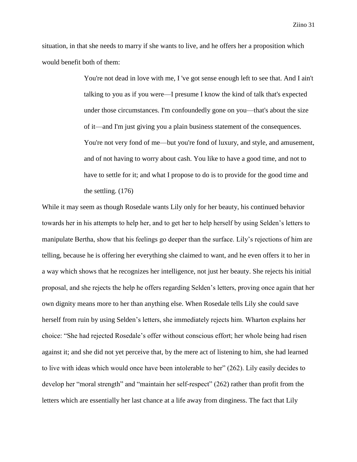situation, in that she needs to marry if she wants to live, and he offers her a proposition which would benefit both of them:

> You're not dead in love with me, I 've got sense enough left to see that. And I ain't talking to you as if you were—I presume I know the kind of talk that's expected under those circumstances. I'm confoundedly gone on you—that's about the size of it—and I'm just giving you a plain business statement of the consequences. You're not very fond of me—but you're fond of luxury, and style, and amusement, and of not having to worry about cash. You like to have a good time, and not to have to settle for it; and what I propose to do is to provide for the good time and the settling. (176)

While it may seem as though Rosedale wants Lily only for her beauty, his continued behavior towards her in his attempts to help her, and to get her to help herself by using Selden's letters to manipulate Bertha, show that his feelings go deeper than the surface. Lily's rejections of him are telling, because he is offering her everything she claimed to want, and he even offers it to her in a way which shows that he recognizes her intelligence, not just her beauty. She rejects his initial proposal, and she rejects the help he offers regarding Selden's letters, proving once again that her own dignity means more to her than anything else. When Rosedale tells Lily she could save herself from ruin by using Selden's letters, she immediately rejects him. Wharton explains her choice: "She had rejected Rosedale's offer without conscious effort; her whole being had risen against it; and she did not yet perceive that, by the mere act of listening to him, she had learned to live with ideas which would once have been intolerable to her" (262). Lily easily decides to develop her "moral strength" and "maintain her self-respect" (262) rather than profit from the letters which are essentially her last chance at a life away from dinginess. The fact that Lily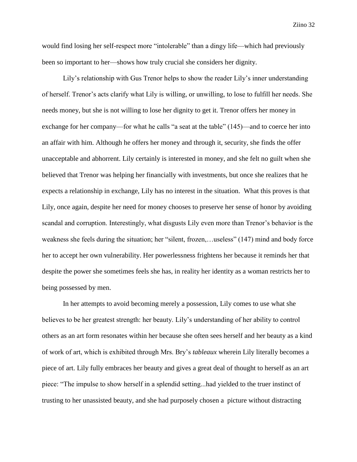would find losing her self-respect more "intolerable" than a dingy life—which had previously been so important to her—shows how truly crucial she considers her dignity.

Lily's relationship with Gus Trenor helps to show the reader Lily's inner understanding of herself. Trenor's acts clarify what Lily is willing, or unwilling, to lose to fulfill her needs. She needs money, but she is not willing to lose her dignity to get it. Trenor offers her money in exchange for her company—for what he calls "a seat at the table" (145)—and to coerce her into an affair with him. Although he offers her money and through it, security, she finds the offer unacceptable and abhorrent. Lily certainly is interested in money, and she felt no guilt when she believed that Trenor was helping her financially with investments, but once she realizes that he expects a relationship in exchange, Lily has no interest in the situation. What this proves is that Lily, once again, despite her need for money chooses to preserve her sense of honor by avoiding scandal and corruption. Interestingly, what disgusts Lily even more than Trenor's behavior is the weakness she feels during the situation; her "silent, frozen,…useless" (147) mind and body force her to accept her own vulnerability. Her powerlessness frightens her because it reminds her that despite the power she sometimes feels she has, in reality her identity as a woman restricts her to being possessed by men.

In her attempts to avoid becoming merely a possession, Lily comes to use what she believes to be her greatest strength: her beauty. Lily's understanding of her ability to control others as an art form resonates within her because she often sees herself and her beauty as a kind of work of art, which is exhibited through Mrs. Bry's *tableaux* wherein Lily literally becomes a piece of art. Lily fully embraces her beauty and gives a great deal of thought to herself as an art piece: "The impulse to show herself in a splendid setting...had yielded to the truer instinct of trusting to her unassisted beauty, and she had purposely chosen a picture without distracting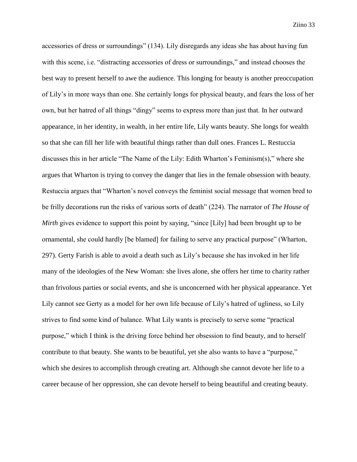accessories of dress or surroundings" (134). Lily disregards any ideas she has about having fun with this scene, i.e. "distracting accessories of dress or surroundings," and instead chooses the best way to present herself to awe the audience. This longing for beauty is another preoccupation of Lily's in more ways than one. She certainly longs for physical beauty, and fears the loss of her own, but her hatred of all things "dingy" seems to express more than just that. In her outward appearance, in her identity, in wealth, in her entire life, Lily wants beauty. She longs for wealth so that she can fill her life with beautiful things rather than dull ones. Frances L. Restuccia discusses this in her article "The Name of the Lily: Edith Wharton's Feminism(s)," where she argues that Wharton is trying to convey the danger that lies in the female obsession with beauty. Restuccia argues that "Wharton's novel conveys the feminist social message that women bred to be frilly decorations run the risks of various sorts of death" (224). The narrator of *The House of Mirth* gives evidence to support this point by saying, "since [Lily] had been brought up to be ornamental, she could hardly [be blamed] for failing to serve any practical purpose" (Wharton, 297). Gerty Farish is able to avoid a death such as Lily's because she has invoked in her life many of the ideologies of the New Woman: she lives alone, she offers her time to charity rather than frivolous parties or social events, and she is unconcerned with her physical appearance. Yet Lily cannot see Gerty as a model for her own life because of Lily's hatred of ugliness, so Lily strives to find some kind of balance. What Lily wants is precisely to serve some "practical purpose," which I think is the driving force behind her obsession to find beauty, and to herself contribute to that beauty. She wants to be beautiful, yet she also wants to have a "purpose," which she desires to accomplish through creating art. Although she cannot devote her life to a career because of her oppression, she can devote herself to being beautiful and creating beauty.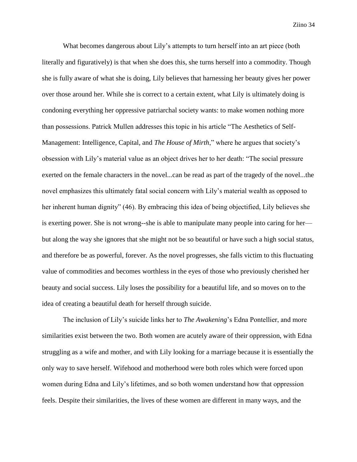What becomes dangerous about Lily's attempts to turn herself into an art piece (both literally and figuratively) is that when she does this, she turns herself into a commodity. Though she is fully aware of what she is doing, Lily believes that harnessing her beauty gives her power over those around her. While she is correct to a certain extent, what Lily is ultimately doing is condoning everything her oppressive patriarchal society wants: to make women nothing more than possessions. Patrick Mullen addresses this topic in his article "The Aesthetics of Self-Management: Intelligence, Capital, and *The House of Mirth*," where he argues that society's obsession with Lily's material value as an object drives her to her death: "The social pressure exerted on the female characters in the novel...can be read as part of the tragedy of the novel...the novel emphasizes this ultimately fatal social concern with Lily's material wealth as opposed to her inherent human dignity" (46). By embracing this idea of being objectified, Lily believes she is exerting power. She is not wrong--she is able to manipulate many people into caring for her but along the way she ignores that she might not be so beautiful or have such a high social status, and therefore be as powerful, forever. As the novel progresses, she falls victim to this fluctuating value of commodities and becomes worthless in the eyes of those who previously cherished her beauty and social success. Lily loses the possibility for a beautiful life, and so moves on to the idea of creating a beautiful death for herself through suicide.

The inclusion of Lily's suicide links her to *The Awakening*'s Edna Pontellier, and more similarities exist between the two. Both women are acutely aware of their oppression, with Edna struggling as a wife and mother, and with Lily looking for a marriage because it is essentially the only way to save herself. Wifehood and motherhood were both roles which were forced upon women during Edna and Lily's lifetimes, and so both women understand how that oppression feels. Despite their similarities, the lives of these women are different in many ways, and the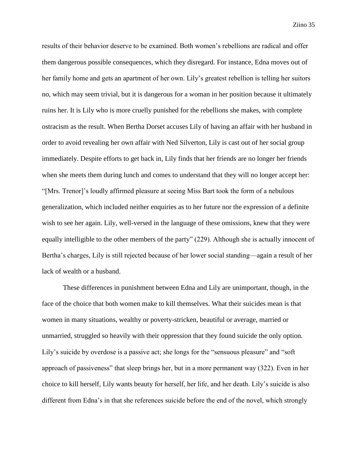results of their behavior deserve to be examined. Both women's rebellions are radical and offer them dangerous possible consequences, which they disregard. For instance, Edna moves out of her family home and gets an apartment of her own. Lily's greatest rebellion is telling her suitors no, which may seem trivial, but it is dangerous for a woman in her position because it ultimately ruins her. It is Lily who is more cruelly punished for the rebellions she makes, with complete ostracism as the result. When Bertha Dorset accuses Lily of having an affair with her husband in order to avoid revealing her own affair with Ned Silverton, Lily is cast out of her social group immediately. Despite efforts to get back in, Lily finds that her friends are no longer her friends when she meets them during lunch and comes to understand that they will no longer accept her: "[Mrs. Trenor]'s loudly affirmed pleasure at seeing Miss Bart took the form of a nebulous generalization, which included neither enquiries as to her future nor the expression of a definite wish to see her again. Lily, well-versed in the language of these omissions, knew that they were equally intelligible to the other members of the party" (229). Although she is actually innocent of Bertha's charges, Lily is still rejected because of her lower social standing—again a result of her lack of wealth or a husband.

These differences in punishment between Edna and Lily are unimportant, though, in the face of the choice that both women make to kill themselves. What their suicides mean is that women in many situations, wealthy or poverty-stricken, beautiful or average, married or unmarried, struggled so heavily with their oppression that they found suicide the only option. Lily's suicide by overdose is a passive act; she longs for the "sensuous pleasure" and "soft" approach of passiveness" that sleep brings her, but in a more permanent way (322). Even in her choice to kill herself, Lily wants beauty for herself, her life, and her death. Lily's suicide is also different from Edna's in that she references suicide before the end of the novel, which strongly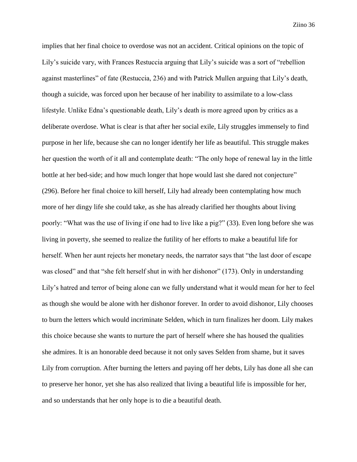implies that her final choice to overdose was not an accident. Critical opinions on the topic of Lily's suicide vary, with Frances Restuccia arguing that Lily's suicide was a sort of "rebellion against masterlines" of fate (Restuccia, 236) and with Patrick Mullen arguing that Lily's death, though a suicide, was forced upon her because of her inability to assimilate to a low-class lifestyle. Unlike Edna's questionable death, Lily's death is more agreed upon by critics as a deliberate overdose. What is clear is that after her social exile, Lily struggles immensely to find purpose in her life, because she can no longer identify her life as beautiful. This struggle makes her question the worth of it all and contemplate death: "The only hope of renewal lay in the little bottle at her bed-side; and how much longer that hope would last she dared not conjecture" (296). Before her final choice to kill herself, Lily had already been contemplating how much more of her dingy life she could take, as she has already clarified her thoughts about living poorly: "What was the use of living if one had to live like a pig?" (33). Even long before she was living in poverty, she seemed to realize the futility of her efforts to make a beautiful life for herself. When her aunt rejects her monetary needs, the narrator says that "the last door of escape was closed" and that "she felt herself shut in with her dishonor" (173). Only in understanding Lily's hatred and terror of being alone can we fully understand what it would mean for her to feel as though she would be alone with her dishonor forever. In order to avoid dishonor, Lily chooses to burn the letters which would incriminate Selden, which in turn finalizes her doom. Lily makes this choice because she wants to nurture the part of herself where she has housed the qualities she admires. It is an honorable deed because it not only saves Selden from shame, but it saves Lily from corruption. After burning the letters and paying off her debts, Lily has done all she can to preserve her honor, yet she has also realized that living a beautiful life is impossible for her, and so understands that her only hope is to die a beautiful death.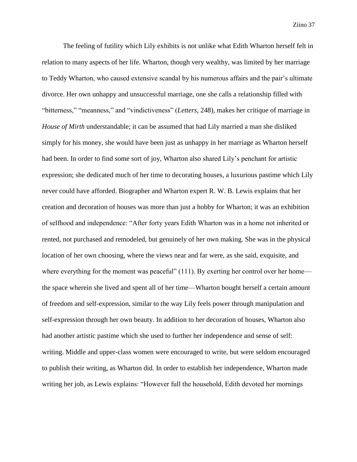The feeling of futility which Lily exhibits is not unlike what Edith Wharton herself felt in relation to many aspects of her life. Wharton, though very wealthy, was limited by her marriage to Teddy Wharton, who caused extensive scandal by his numerous affairs and the pair's ultimate divorce. Her own unhappy and unsuccessful marriage, one she calls a relationship filled with "bitterness," "meanness," and "vindictiveness" (*Letters*, 248), makes her critique of marriage in *House of Mirth* understandable; it can be assumed that had Lily married a man she disliked simply for his money, she would have been just as unhappy in her marriage as Wharton herself had been. In order to find some sort of joy, Wharton also shared Lily's penchant for artistic expression; she dedicated much of her time to decorating houses, a luxurious pastime which Lily never could have afforded. Biographer and Wharton expert R. W. B. Lewis explains that her creation and decoration of houses was more than just a hobby for Wharton; it was an exhibition of selfhood and independence: "After forty years Edith Wharton was in a home not inherited or rented, not purchased and remodeled, but genuinely of her own making. She was in the physical location of her own choosing, where the views near and far were, as she said, exquisite, and where everything for the moment was peaceful" (111). By exerting her control over her home the space wherein she lived and spent all of her time—Wharton bought herself a certain amount of freedom and self-expression, similar to the way Lily feels power through manipulation and self-expression through her own beauty. In addition to her decoration of houses, Wharton also had another artistic pastime which she used to further her independence and sense of self: writing. Middle and upper-class women were encouraged to write, but were seldom encouraged to publish their writing, as Wharton did. In order to establish her independence, Wharton made writing her job, as Lewis explains: "However full the household, Edith devoted her mornings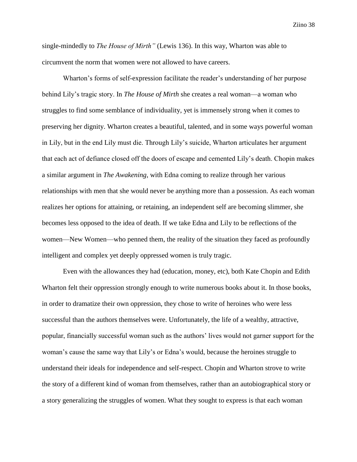single-mindedly to *The House of Mirth"* (Lewis 136). In this way, Wharton was able to circumvent the norm that women were not allowed to have careers.

Wharton's forms of self-expression facilitate the reader's understanding of her purpose behind Lily's tragic story. In *The House of Mirth* she creates a real woman—a woman who struggles to find some semblance of individuality, yet is immensely strong when it comes to preserving her dignity. Wharton creates a beautiful, talented, and in some ways powerful woman in Lily, but in the end Lily must die. Through Lily's suicide, Wharton articulates her argument that each act of defiance closed off the doors of escape and cemented Lily's death. Chopin makes a similar argument in *The Awakening*, with Edna coming to realize through her various relationships with men that she would never be anything more than a possession. As each woman realizes her options for attaining, or retaining, an independent self are becoming slimmer, she becomes less opposed to the idea of death. If we take Edna and Lily to be reflections of the women—New Women—who penned them, the reality of the situation they faced as profoundly intelligent and complex yet deeply oppressed women is truly tragic.

Even with the allowances they had (education, money, etc), both Kate Chopin and Edith Wharton felt their oppression strongly enough to write numerous books about it. In those books, in order to dramatize their own oppression, they chose to write of heroines who were less successful than the authors themselves were. Unfortunately, the life of a wealthy, attractive, popular, financially successful woman such as the authors' lives would not garner support for the woman's cause the same way that Lily's or Edna's would, because the heroines struggle to understand their ideals for independence and self-respect. Chopin and Wharton strove to write the story of a different kind of woman from themselves, rather than an autobiographical story or a story generalizing the struggles of women. What they sought to express is that each woman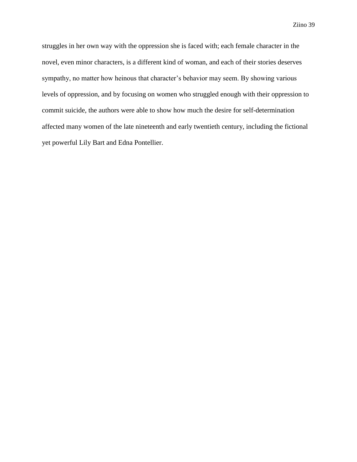struggles in her own way with the oppression she is faced with; each female character in the novel, even minor characters, is a different kind of woman, and each of their stories deserves sympathy, no matter how heinous that character's behavior may seem. By showing various levels of oppression, and by focusing on women who struggled enough with their oppression to commit suicide, the authors were able to show how much the desire for self-determination affected many women of the late nineteenth and early twentieth century, including the fictional yet powerful Lily Bart and Edna Pontellier.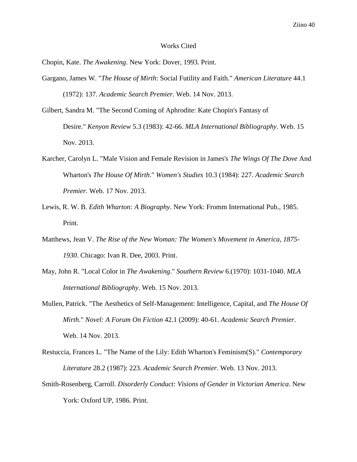#### Works Cited

Chopin, Kate. *The Awakening*. New York: Dover, 1993. Print.

- Gargano, James W. "*The House of Mirth*: Social Futility and Faith." *American Literature* 44.1 (1972): 137. *Academic Search Premier*. Web. 14 Nov. 2013.
- Gilbert, Sandra M. "The Second Coming of Aphrodite: Kate Chopin's Fantasy of Desire." *Kenyon Review* 5.3 (1983): 42-66. *MLA International Bibliography*. Web. 15 Nov. 2013.
- Karcher, Carolyn L. "Male Vision and Female Revision in James's *The Wings Of The Dove* And Wharton's *The House Of Mirth*." *Women's Studies* 10.3 (1984): 227. *Academic Search Premier*. Web. 17 Nov. 2013.
- Lewis, R. W. B. *Edith Wharton: A Biography*. New York: Fromm International Pub., 1985. Print.
- Matthews, Jean V. *The Rise of the New Woman: The Women's Movement in America, 1875- 1930*. Chicago: Ivan R. Dee, 2003. Print.
- May, John R. "Local Color in *The Awakening*." *Southern Review* 6.(1970): 1031-1040. *MLA International Bibliography*. Web. 15 Nov. 2013.
- Mullen, Patrick. "The Aesthetics of Self-Management: Intelligence, Capital, and *The House Of Mirth*." *Novel: A Forum On Fiction* 42.1 (2009): 40-61. *Academic Search Premier*. Web. 14 Nov. 2013.
- Restuccia, Frances L. "The Name of the Lily: Edith Wharton's Feminism(S)." *Contemporary Literature* 28.2 (1987): 223. *Academic Search Premier*. Web. 13 Nov. 2013.
- Smith-Rosenberg, Carroll. *Disorderly Conduct: Visions of Gender in Victorian America*. New York: Oxford UP, 1986. Print.